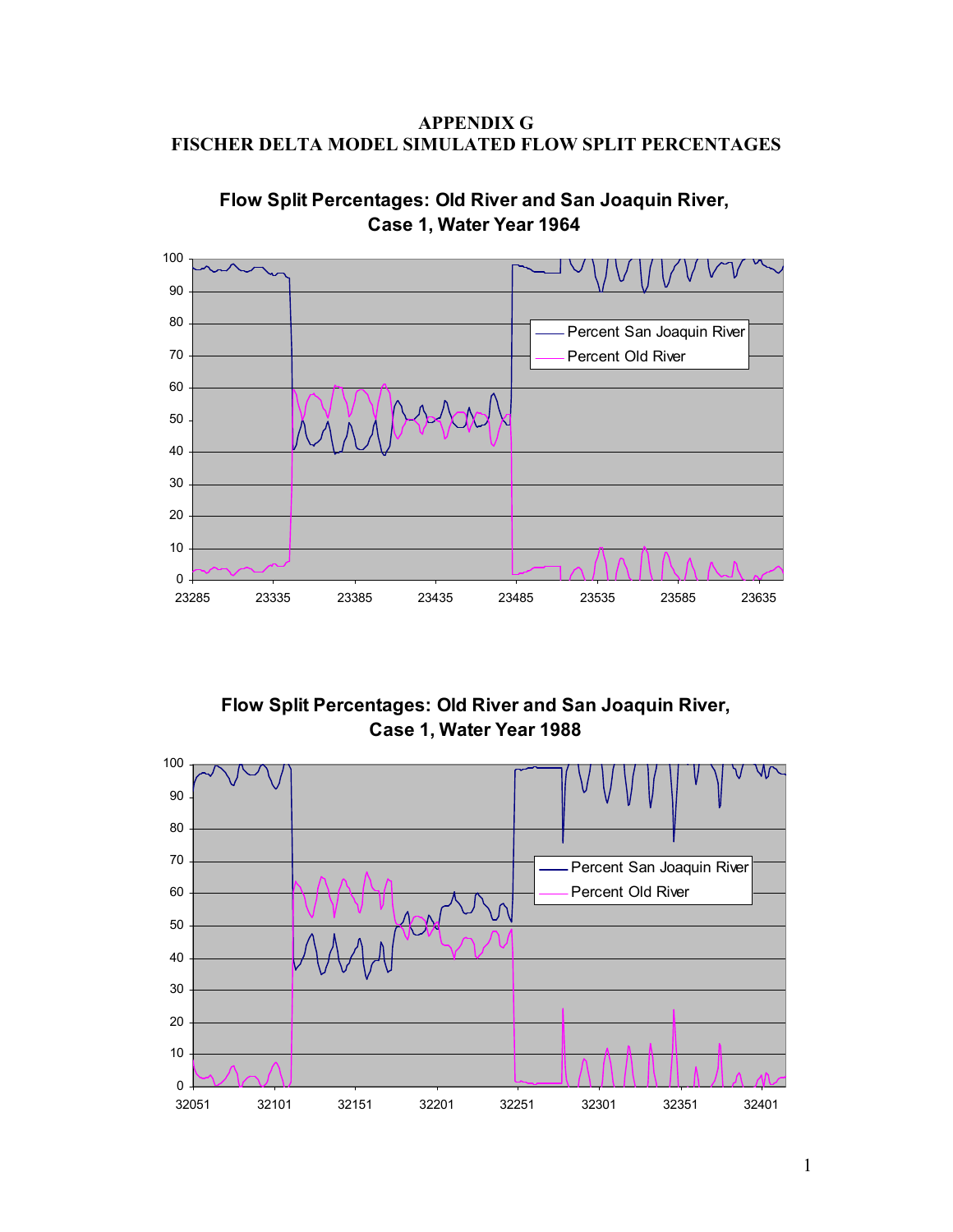APPENDIX G FISCHER DELTA MODEL SIMULATED FLOW SPLIT PERCENTAGES



Flow Split Percentages: Old River and San Joaquin River, Case 1, Water Year 1964

Flow Split Percentages: Old River and San Joaquin River, Case 1, Water Year 1988

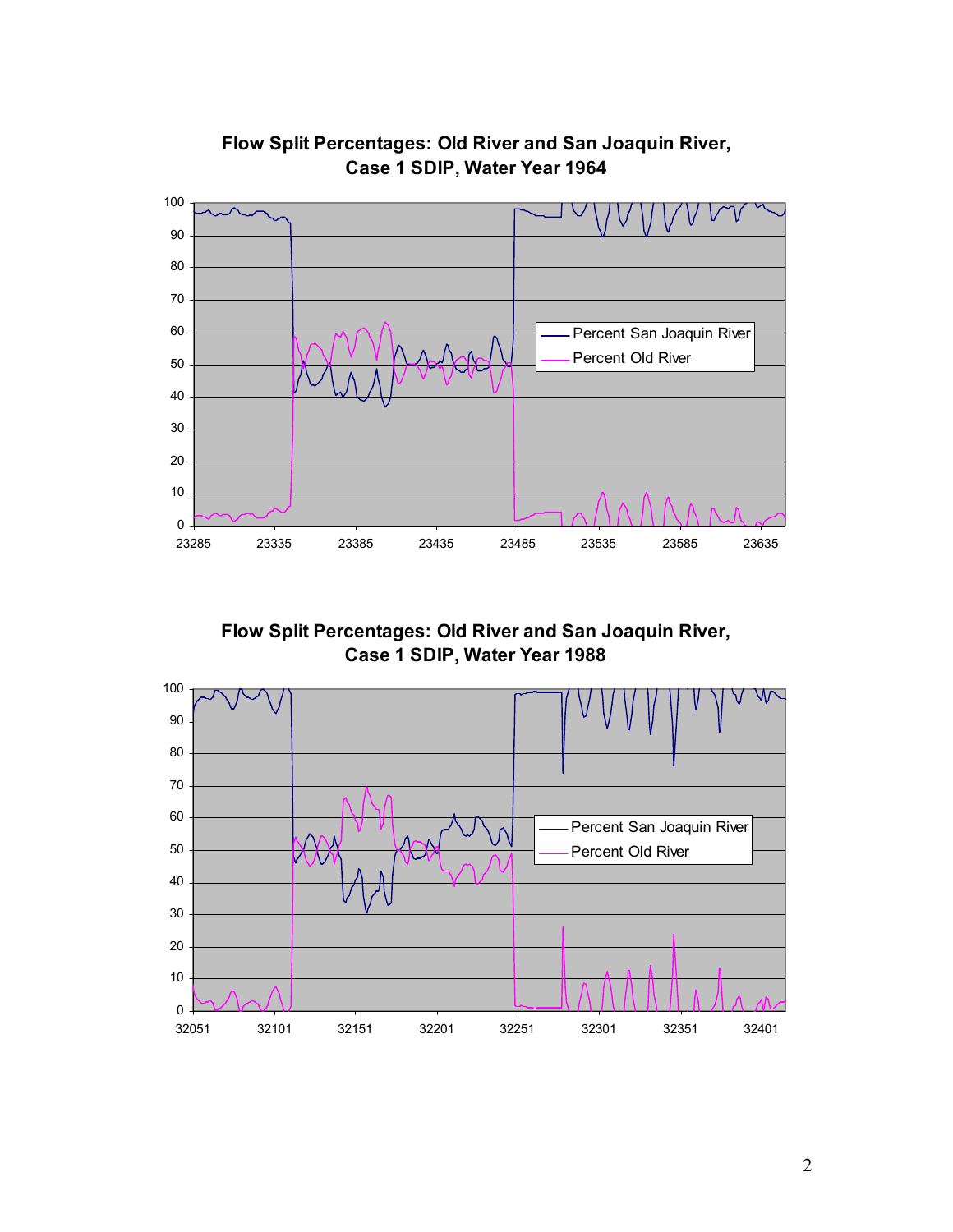

## Flow Split Percentages: Old River and San Joaquin River, Case 1 SDIP, Water Year 1964

Flow Split Percentages: Old River and San Joaquin River, Case 1 SDIP, Water Year 1988